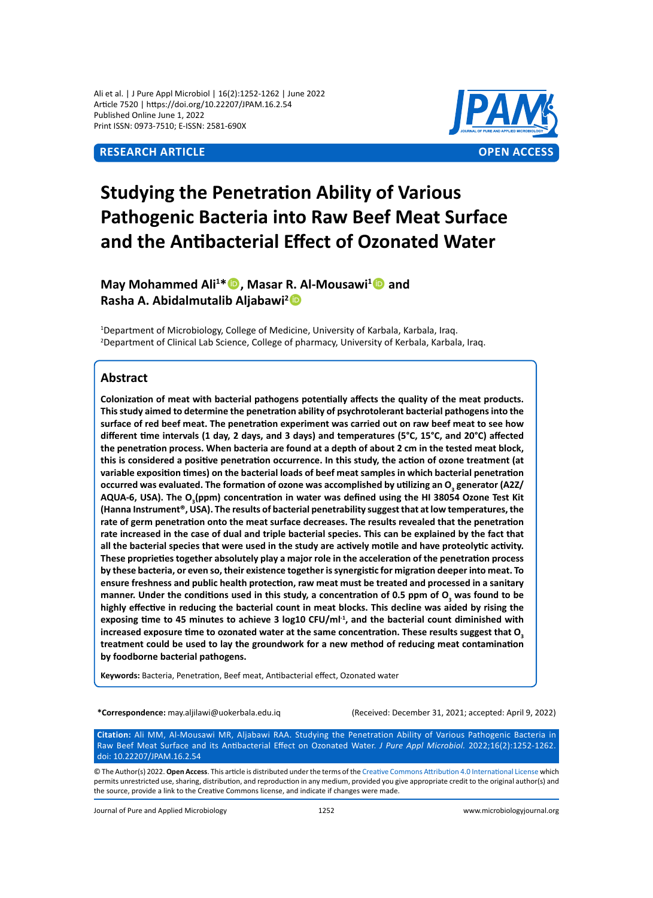## **Research Article OPEN ACCESS**



# **Studying the Penetration Ability of Various Pathogenic Bacteria into Raw Beef Meat Surface and the Antibacterial Effect of Ozonated Water**

**May Mohammed Ali<sup>1</sup> \*, Masar R. Al-Mousawi<sup>1</sup> and Rasha A. Abidalmutalib Aljabawi<sup>2</sup>**

<sup>1</sup>Department of Microbiology, College of Medicine, University of Karbala, Karbala, Iraq. 2 Department of Clinical Lab Science, College of pharmacy, University of Kerbala, Karbala, Iraq.

## **Abstract**

**Colonization of meat with bacterial pathogens potentially affects the quality of the meat products. This study aimed to determine the penetration ability of psychrotolerant bacterial pathogens into the surface of red beef meat. The penetration experiment was carried out on raw beef meat to see how different time intervals (1 day, 2 days, and 3 days) and temperatures (5°C, 15°C, and 20°C) affected the penetration process. When bacteria are found at a depth of about 2 cm in the tested meat block, this is considered a positive penetration occurrence. In this study, the action of ozone treatment (at variable exposition times) on the bacterial loads of beef meat samples in which bacterial penetration**  occurred was evaluated. The formation of ozone was accomplished by utilizing an O<sub>3</sub> generator (A2Z/ AQUA-6, USA). The O<sub>3</sub>(ppm) concentration in water was defined using the HI 38054 Ozone Test Kit **(Hanna Instrument®, USA). The results of bacterial penetrability suggest that at low temperatures, the rate of germ penetration onto the meat surface decreases. The results revealed that the penetration rate increased in the case of dual and triple bacterial species. This can be explained by the fact that all the bacterial species that were used in the study are actively motile and have proteolytic activity. These proprieties together absolutely play a major role in the acceleration of the penetration process by these bacteria, or even so, their existence together is synergistic for migration deeper into meat. To ensure freshness and public health protection, raw meat must be treated and processed in a sanitary**  manner. Under the conditions used in this study, a concentration of 0.5 ppm of O<sub>3</sub> was found to be **highly effective in reducing the bacterial count in meat blocks. This decline was aided by rising the**  exposing time to 45 minutes to achieve 3 log10 CFU/ml<sup>-1</sup>, and the bacterial count diminished with increased exposure time to ozonated water at the same concentration. These results suggest that O<sub>3</sub> **treatment could be used to lay the groundwork for a new method of reducing meat contamination by foodborne bacterial pathogens.** 

**Keywords:** Bacteria, Penetration, Beef meat, Antibacterial effect, Ozonated water

**\*Correspondence:** may.aljilawi@uokerbala.edu.iq (Received: December 31, 2021; accepted: April 9, 2022)

**Citation:** Ali MM, Al-Mousawi MR, Aljabawi RAA. Studying the Penetration Ability of Various Pathogenic Bacteria in Raw Beef Meat Surface and its Antibacterial Effect on Ozonated Water. *J Pure Appl Microbiol.* 2022;16(2):1252-1262. doi: 10.22207/JPAM.16.2.54

© The Author(s) 2022. **Open Access**. This article is distributed under the terms of the [Creative Commons Attribution 4.0 International License](https://creativecommons.org/licenses/by/4.0/) which permits unrestricted use, sharing, distribution, and reproduction in any medium, provided you give appropriate credit to the original author(s) and the source, provide a link to the Creative Commons license, and indicate if changes were made.

Journal of Pure and Applied Microbiology 1252 www.microbiologyjournal.org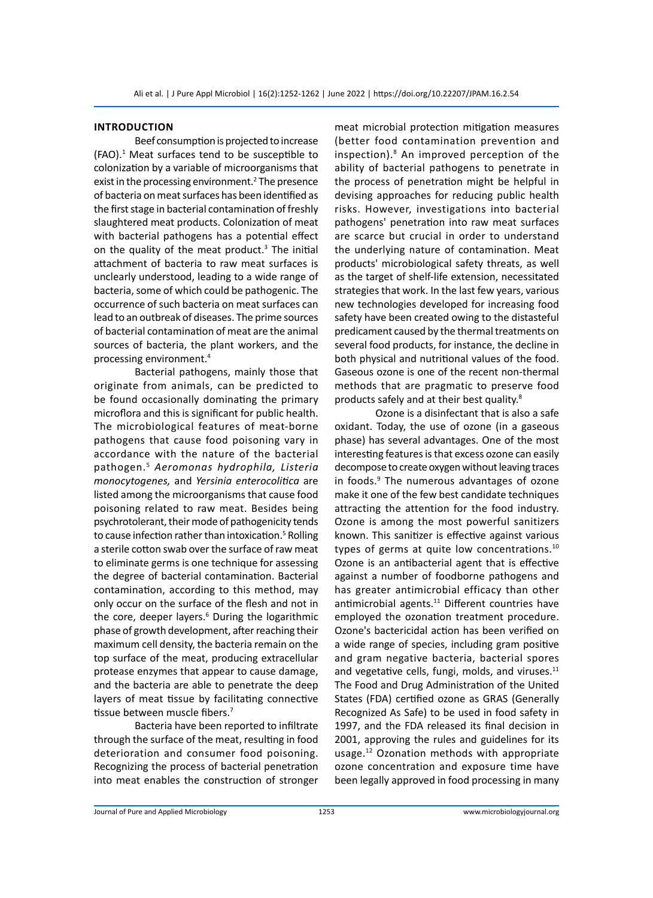#### **Introduction**

Beef consumption is projected to increase (FAO).<sup>1</sup> Meat surfaces tend to be susceptible to colonization by a variable of microorganisms that exist in the processing environment.<sup>2</sup> The presence of bacteria on meat surfaces has been identified as the first stage in bacterial contamination of freshly slaughtered meat products. Colonization of meat with bacterial pathogens has a potential effect on the quality of the meat product.<sup>3</sup> The initial attachment of bacteria to raw meat surfaces is unclearly understood, leading to a wide range of bacteria, some of which could be pathogenic. The occurrence of such bacteria on meat surfaces can lead to an outbreak of diseases. The prime sources of bacterial contamination of meat are the animal sources of bacteria, the plant workers, and the processing environment.4

Bacterial pathogens, mainly those that originate from animals, can be predicted to be found occasionally dominating the primary microflora and this is significant for public health. The microbiological features of meat-borne pathogens that cause food poisoning vary in accordance with the nature of the bacterial pathogen.5 *Aeromonas hydrophila, Listeria monocytogenes,* and *Yersinia enterocolitica* are listed among the microorganisms that cause food poisoning related to raw meat. Besides being psychrotolerant, their mode of pathogenicity tends to cause infection rather than intoxication.<sup>5</sup> Rolling a sterile cotton swab over the surface of raw meat to eliminate germs is one technique for assessing the degree of bacterial contamination. Bacterial contamination, according to this method, may only occur on the surface of the flesh and not in the core, deeper layers.<sup>6</sup> During the logarithmic phase of growth development, after reaching their maximum cell density, the bacteria remain on the top surface of the meat, producing extracellular protease enzymes that appear to cause damage, and the bacteria are able to penetrate the deep layers of meat tissue by facilitating connective tissue between muscle fibers.<sup>7</sup>

Bacteria have been reported to infiltrate through the surface of the meat, resulting in food deterioration and consumer food poisoning. Recognizing the process of bacterial penetration into meat enables the construction of stronger meat microbial protection mitigation measures (better food contamination prevention and inspection).<sup>8</sup> An improved perception of the ability of bacterial pathogens to penetrate in the process of penetration might be helpful in devising approaches for reducing public health risks. However, investigations into bacterial pathogens' penetration into raw meat surfaces are scarce but crucial in order to understand the underlying nature of contamination. Meat products' microbiological safety threats, as well as the target of shelf-life extension, necessitated strategies that work. In the last few years, various new technologies developed for increasing food safety have been created owing to the distasteful predicament caused by the thermal treatments on several food products, for instance, the decline in both physical and nutritional values of the food. Gaseous ozone is one of the recent non-thermal methods that are pragmatic to preserve food products safely and at their best quality.<sup>8</sup>

Ozone is a disinfectant that is also a safe oxidant. Today, the use of ozone (in a gaseous phase) has several advantages. One of the most interesting features is that excess ozone can easily decompose to create oxygen without leaving traces in foods.<sup>9</sup> The numerous advantages of ozone make it one of the few best candidate techniques attracting the attention for the food industry. Ozone is among the most powerful sanitizers known. This sanitizer is effective against various types of germs at quite low concentrations.<sup>10</sup> Ozone is an antibacterial agent that is effective against a number of foodborne pathogens and has greater antimicrobial efficacy than other antimicrobial agents.<sup>11</sup> Different countries have employed the ozonation treatment procedure. Ozone's bactericidal action has been verified on a wide range of species, including gram positive and gram negative bacteria, bacterial spores and vegetative cells, fungi, molds, and viruses.<sup>11</sup> The Food and Drug Administration of the United States (FDA) certified ozone as GRAS (Generally Recognized As Safe) to be used in food safety in 1997, and the FDA released its final decision in 2001, approving the rules and guidelines for its usage.<sup>12</sup> Ozonation methods with appropriate ozone concentration and exposure time have been legally approved in food processing in many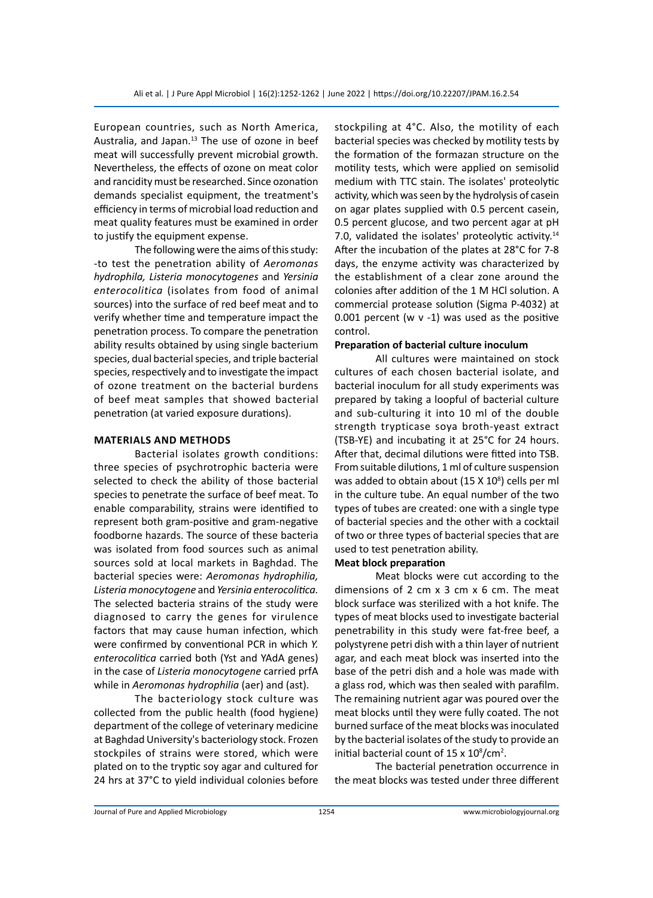European countries, such as North America, Australia, and Japan.<sup>13</sup> The use of ozone in beef meat will successfully prevent microbial growth. Nevertheless, the effects of ozone on meat color and rancidity must be researched. Since ozonation demands specialist equipment, the treatment's efficiency in terms of microbial load reduction and meat quality features must be examined in order to justify the equipment expense.

The following were the aims of this study: -to test the penetration ability of *Aeromonas hydrophila, Listeria monocytogenes* and *Yersinia enterocolitica* (isolates from food of animal sources) into the surface of red beef meat and to verify whether time and temperature impact the penetration process. To compare the penetration ability results obtained by using single bacterium species, dual bacterial species, and triple bacterial species, respectively and to investigate the impact of ozone treatment on the bacterial burdens of beef meat samples that showed bacterial penetration (at varied exposure durations).

#### **Materials and methods**

Bacterial isolates growth conditions: three species of psychrotrophic bacteria were selected to check the ability of those bacterial species to penetrate the surface of beef meat. To enable comparability, strains were identified to represent both gram-positive and gram-negative foodborne hazards. The source of these bacteria was isolated from food sources such as animal sources sold at local markets in Baghdad. The bacterial species were: *Aeromonas hydrophilia, Listeria monocytogene* and *Yersinia enterocolitica.*  The selected bacteria strains of the study were diagnosed to carry the genes for virulence factors that may cause human infection, which were confirmed by conventional PCR in which *Y. enterocolitica* carried both (Yst and YAdA genes) in the case of *Listeria monocytogene* carried prfA while in *Aeromonas hydrophilia* (aer) and (ast).

The bacteriology stock culture was collected from the public health (food hygiene) department of the college of veterinary medicine at Baghdad University's bacteriology stock. Frozen stockpiles of strains were stored, which were plated on to the tryptic soy agar and cultured for 24 hrs at 37°C to yield individual colonies before stockpiling at 4°C. Also, the motility of each bacterial species was checked by motility tests by the formation of the formazan structure on the motility tests, which were applied on semisolid medium with TTC stain. The isolates' proteolytic activity, which was seen by the hydrolysis of casein on agar plates supplied with 0.5 percent casein, 0.5 percent glucose, and two percent agar at pH 7.0, validated the isolates' proteolytic activity.<sup>14</sup> After the incubation of the plates at 28°C for 7-8 days, the enzyme activity was characterized by the establishment of a clear zone around the colonies after addition of the 1 M HCl solution. A commercial protease solution (Sigma P-4032) at 0.001 percent (w  $v - 1$ ) was used as the positive control.

## **Preparation of bacterial culture inoculum**

All cultures were maintained on stock cultures of each chosen bacterial isolate, and bacterial inoculum for all study experiments was prepared by taking a loopful of bacterial culture and sub-culturing it into 10 ml of the double strength trypticase soya broth-yeast extract (TSB-YE) and incubating it at 25°C for 24 hours. After that, decimal dilutions were fitted into TSB. From suitable dilutions, 1 ml of culture suspension was added to obtain about (15 X  $10<sup>8</sup>$ ) cells per ml in the culture tube. An equal number of the two types of tubes are created: one with a single type of bacterial species and the other with a cocktail of two or three types of bacterial species that are used to test penetration ability.

#### **Meat block preparation**

Meat blocks were cut according to the dimensions of 2 cm x 3 cm x 6 cm. The meat block surface was sterilized with a hot knife. The types of meat blocks used to investigate bacterial penetrability in this study were fat-free beef, a polystyrene petri dish with a thin layer of nutrient agar, and each meat block was inserted into the base of the petri dish and a hole was made with a glass rod, which was then sealed with parafilm. The remaining nutrient agar was poured over the meat blocks until they were fully coated. The not burned surface of the meat blocks was inoculated by the bacterial isolates of the study to provide an initial bacterial count of 15 x  $10^8$ /cm<sup>2</sup>.

The bacterial penetration occurrence in the meat blocks was tested under three different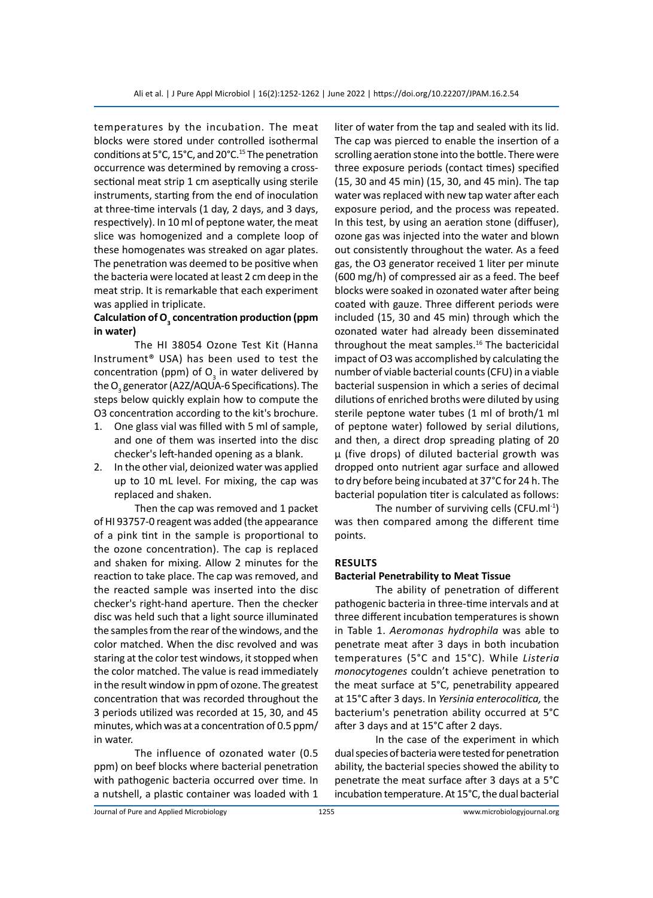temperatures by the incubation. The meat blocks were stored under controlled isothermal conditions at 5°C, 15°C, and 20°C.<sup>15</sup> The penetration occurrence was determined by removing a crosssectional meat strip 1 cm aseptically using sterile instruments, starting from the end of inoculation at three-time intervals (1 day, 2 days, and 3 days, respectively). In 10 ml of peptone water, the meat slice was homogenized and a complete loop of these homogenates was streaked on agar plates. The penetration was deemed to be positive when the bacteria were located at least 2 cm deep in the meat strip. It is remarkable that each experiment was applied in triplicate.

## **Calculation of O3 concentration production (ppm in water)**

The HI 38054 Ozone Test Kit (Hanna Instrument® USA) has been used to test the concentration (ppm) of  $O_3$  in water delivered by the O<sub>3</sub> generator (A2Z/AQUA-6 Specifications). The steps below quickly explain how to compute the O3 concentration according to the kit's brochure.

- 1. One glass vial was filled with 5 ml of sample, and one of them was inserted into the disc checker's left-handed opening as a blank.
- 2. In the other vial, deionized water was applied up to 10 mL level. For mixing, the cap was replaced and shaken.

Then the cap was removed and 1 packet of HI 93757-0 reagent was added (the appearance of a pink tint in the sample is proportional to the ozone concentration). The cap is replaced and shaken for mixing. Allow 2 minutes for the reaction to take place. The cap was removed, and the reacted sample was inserted into the disc checker's right-hand aperture. Then the checker disc was held such that a light source illuminated the samples from the rear of the windows, and the color matched. When the disc revolved and was staring at the color test windows, it stopped when the color matched. The value is read immediately in the result window in ppm of ozone. The greatest concentration that was recorded throughout the 3 periods utilized was recorded at 15, 30, and 45 minutes, which was at a concentration of 0.5 ppm/ in water.

The influence of ozonated water (0.5 ppm) on beef blocks where bacterial penetration with pathogenic bacteria occurred over time. In a nutshell, a plastic container was loaded with 1 liter of water from the tap and sealed with its lid. The cap was pierced to enable the insertion of a scrolling aeration stone into the bottle. There were three exposure periods (contact times) specified (15, 30 and 45 min) (15, 30, and 45 min). The tap water was replaced with new tap water after each exposure period, and the process was repeated. In this test, by using an aeration stone (diffuser), ozone gas was injected into the water and blown out consistently throughout the water. As a feed gas, the O3 generator received 1 liter per minute (600 mg/h) of compressed air as a feed. The beef blocks were soaked in ozonated water after being coated with gauze. Three different periods were included (15, 30 and 45 min) through which the ozonated water had already been disseminated throughout the meat samples.<sup>16</sup> The bactericidal impact of O3 was accomplished by calculating the number of viable bacterial counts (CFU) in a viable bacterial suspension in which a series of decimal dilutions of enriched broths were diluted by using sterile peptone water tubes (1 ml of broth/1 ml of peptone water) followed by serial dilutions, and then, a direct drop spreading plating of 20 µ (five drops) of diluted bacterial growth was dropped onto nutrient agar surface and allowed to dry before being incubated at 37°C for 24 h. The bacterial population titer is calculated as follows:

The number of surviving cells (CFU.ml<sup>-1</sup>) was then compared among the different time points.

## **Results**

#### **Bacterial Penetrability to Meat Tissue**

The ability of penetration of different pathogenic bacteria in three-time intervals and at three different incubation temperatures is shown in Table 1. *Aeromonas hydrophila* was able to penetrate meat after 3 days in both incubation temperatures (5°C and 15°C). While *Listeria monocytogenes* couldn't achieve penetration to the meat surface at 5°C, penetrability appeared at 15°C after 3 days. In *Yersinia enterocolitica,* the bacterium's penetration ability occurred at 5°C after 3 days and at 15°C after 2 days.

In the case of the experiment in which dual species of bacteria were tested for penetration ability, the bacterial species showed the ability to penetrate the meat surface after 3 days at a 5°C incubation temperature. At 15°C, the dual bacterial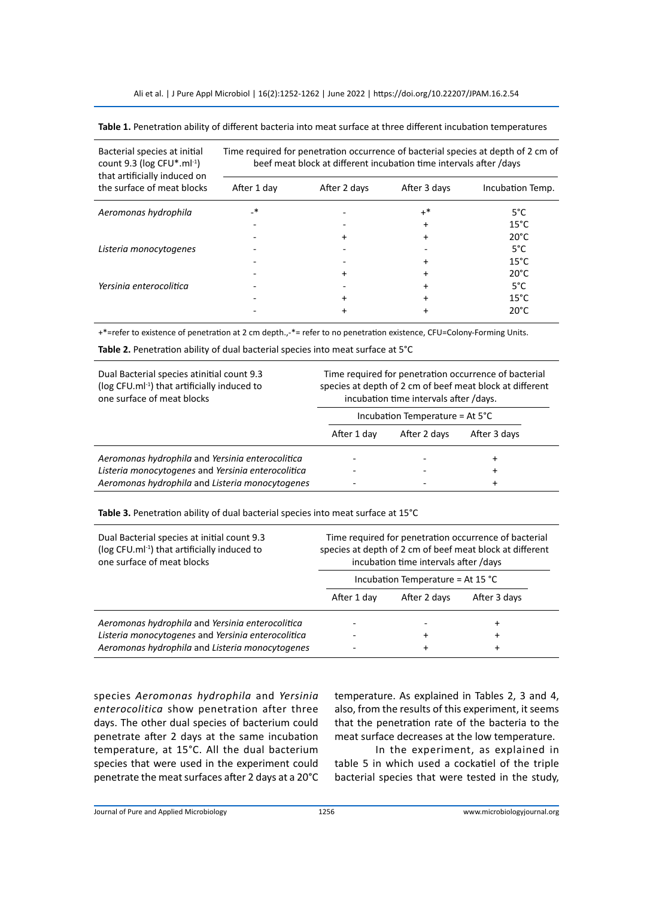Ali et al. | J Pure Appl Microbiol | 16(2):1252-1262 | June 2022 | https://doi.org/10.22207/JPAM.16.2.54

| Table 1. Penetration ability of different bacteria into meat surface at three different incubation temperatures |
|-----------------------------------------------------------------------------------------------------------------|
|-----------------------------------------------------------------------------------------------------------------|

| Bacterial species at initial<br>count 9.3 ( $log CFU^*$ .ml <sup>-1</sup> )<br>that artificially induced on | Time required for penetration occurrence of bacterial species at depth of 2 cm of<br>beef meat block at different incubation time intervals after /days |              |              |                  |  |  |
|-------------------------------------------------------------------------------------------------------------|---------------------------------------------------------------------------------------------------------------------------------------------------------|--------------|--------------|------------------|--|--|
| the surface of meat blocks                                                                                  | After 1 day                                                                                                                                             | After 2 days | After 3 days | Incubation Temp. |  |  |
| Aeromonas hydrophila                                                                                        | *                                                                                                                                                       |              | $+^*$        | $5^{\circ}$ C    |  |  |
|                                                                                                             |                                                                                                                                                         |              | $\ddot{}$    | $15^{\circ}$ C   |  |  |
|                                                                                                             |                                                                                                                                                         | +            | +            | $20^{\circ}$ C   |  |  |
| Listeria monocytogenes                                                                                      |                                                                                                                                                         |              |              | $5^{\circ}$ C    |  |  |
|                                                                                                             |                                                                                                                                                         |              | +            | $15^{\circ}$ C   |  |  |
|                                                                                                             |                                                                                                                                                         | +            |              | $20^{\circ}$ C   |  |  |
| Yersinia enterocolitica                                                                                     |                                                                                                                                                         |              |              | $5^{\circ}$ C    |  |  |
|                                                                                                             |                                                                                                                                                         | +            |              | $15^{\circ}$ C   |  |  |
|                                                                                                             |                                                                                                                                                         |              |              | $20^{\circ}$ C   |  |  |

+\*=refer to existence of penetration at 2 cm depth.,-\*= refer to no penetration existence, CFU=Colony-Forming Units.

**Table 2.** Penetration ability of dual bacterial species into meat surface at 5°C

| Dual Bacterial species atinitial count 9.3<br>(log CFU.ml <sup>-1</sup> ) that artificially induced to<br>one surface of meat blocks | Time required for penetration occurrence of bacterial<br>species at depth of 2 cm of beef meat block at different<br>incubation time intervals after /days. |                                           |              |  |
|--------------------------------------------------------------------------------------------------------------------------------------|-------------------------------------------------------------------------------------------------------------------------------------------------------------|-------------------------------------------|--------------|--|
|                                                                                                                                      |                                                                                                                                                             | Incubation Temperature = At $5^{\circ}$ C |              |  |
|                                                                                                                                      | After 1 day                                                                                                                                                 | After 2 days                              | After 3 days |  |
| Aeromonas hydrophila and Yersinia enterocolitica                                                                                     |                                                                                                                                                             |                                           | $\div$       |  |
| Listeria monocytogenes and Yersinia enterocolitica                                                                                   |                                                                                                                                                             |                                           | $\div$       |  |
| Aeromonas hydrophila and Listeria monocytogenes                                                                                      |                                                                                                                                                             |                                           | $\ddot{}$    |  |

**Table 3.** Penetration ability of dual bacterial species into meat surface at 15°C

| Dual Bacterial species at initial count 9.3<br>(log CFU.ml <sup>-1</sup> ) that artificially induced to<br>one surface of meat blocks | Time required for penetration occurrence of bacterial<br>species at depth of 2 cm of beef meat block at different<br>incubation time intervals after /days<br>Incubation Temperature = At 15 °C |              |              |  |
|---------------------------------------------------------------------------------------------------------------------------------------|-------------------------------------------------------------------------------------------------------------------------------------------------------------------------------------------------|--------------|--------------|--|
|                                                                                                                                       |                                                                                                                                                                                                 |              |              |  |
|                                                                                                                                       | After 1 day                                                                                                                                                                                     | After 2 days | After 3 days |  |
| Aeromonas hydrophila and Yersinia enterocolitica                                                                                      |                                                                                                                                                                                                 |              | ÷            |  |
| Listeria monocytogenes and Yersinia enterocolitica                                                                                    |                                                                                                                                                                                                 | ÷            | +            |  |
| Aeromonas hydrophila and Listeria monocytogenes                                                                                       |                                                                                                                                                                                                 | $\ddot{}$    | $\ddot{}$    |  |

species *Aeromonas hydrophila* and *Yersinia enterocolitica* show penetration after three days. The other dual species of bacterium could penetrate after 2 days at the same incubation temperature, at 15°C. All the dual bacterium species that were used in the experiment could penetrate the meat surfaces after 2 days at a 20°C

temperature. As explained in Tables 2, 3 and 4, also, from the results of this experiment, it seems that the penetration rate of the bacteria to the meat surface decreases at the low temperature.

In the experiment, as explained in table 5 in which used a cockatiel of the triple bacterial species that were tested in the study,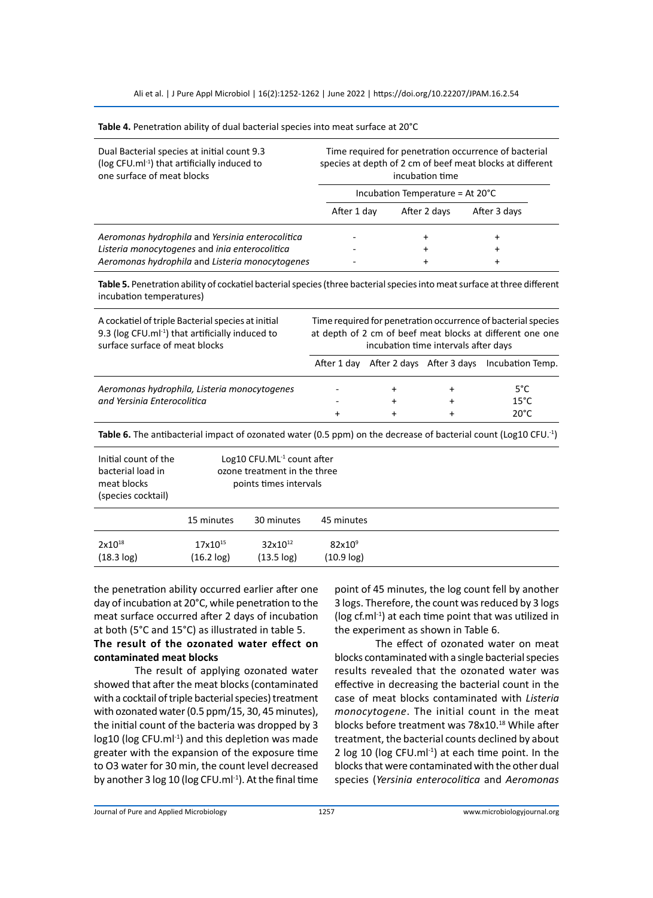Ali et al. | J Pure Appl Microbiol | 16(2):1252-1262 | June 2022 | https://doi.org/10.22207/JPAM.16.2.54

| Dual Bacterial species at initial count 9.3<br>(log CFU.ml <sup>-1</sup> ) that artificially induced to<br>one surface of meat blocks | Time required for penetration occurrence of bacterial<br>species at depth of 2 cm of beef meat blocks at different<br>incubation time<br>Incubation Temperature = At $20^{\circ}$ C |              |              |  |
|---------------------------------------------------------------------------------------------------------------------------------------|-------------------------------------------------------------------------------------------------------------------------------------------------------------------------------------|--------------|--------------|--|
|                                                                                                                                       |                                                                                                                                                                                     |              |              |  |
|                                                                                                                                       | After 1 day                                                                                                                                                                         | After 2 days | After 3 days |  |
| Aeromonas hydrophila and Yersinia enterocolitica                                                                                      |                                                                                                                                                                                     | $\ddot{}$    |              |  |
| Listeria monocytogenes and inia enterocolitica                                                                                        |                                                                                                                                                                                     | +            | ٠            |  |
| Aeromonas hydrophila and Listeria monocytogenes                                                                                       |                                                                                                                                                                                     |              |              |  |

**Table 4.** Penetration ability of dual bacterial species into meat surface at 20°C

**Table 5.** Penetration ability of cockatiel bacterial species (three bacterial species into meat surface at three different incubation temperatures)

| A cockatiel of triple Bacterial species at initial<br>9.3 (log CFU.ml <sup>-1</sup> ) that artificially induced to<br>surface surface of meat blocks | Time required for penetration occurrence of bacterial species<br>at depth of 2 cm of beef meat blocks at different one one<br>incubation time intervals after days |           |                           |                  |
|------------------------------------------------------------------------------------------------------------------------------------------------------|--------------------------------------------------------------------------------------------------------------------------------------------------------------------|-----------|---------------------------|------------------|
|                                                                                                                                                      | After 1 dav                                                                                                                                                        |           | After 2 days After 3 days | Incubation Temp. |
| Aeromonas hydrophila, Listeria monocytogenes                                                                                                         |                                                                                                                                                                    | $\ddot{}$ |                           | $5^{\circ}$ C    |
| and Yersinia Enterocolitica                                                                                                                          |                                                                                                                                                                    | $\ddot{}$ |                           | $15^{\circ}$ C.  |
|                                                                                                                                                      | +                                                                                                                                                                  | $\ddot{}$ |                           | $20^{\circ}$ C   |

**Table 6.** The antibacterial impact of ozonated water (0.5 ppm) on the decrease of bacterial count (Log10 CFU.-1)

| Initial count of the<br>bacterial load in<br>meat blocks<br>(species cocktail) | Log10 CFU.ML $1$ count after<br>ozone treatment in the three<br>points times intervals |                               |                                     |  |
|--------------------------------------------------------------------------------|----------------------------------------------------------------------------------------|-------------------------------|-------------------------------------|--|
|                                                                                | 15 minutes                                                                             | 30 minutes                    | 45 minutes                          |  |
| $2x10^{18}$<br>$(18.3 \log)$                                                   | 17x10 <sup>15</sup><br>$(16.2 \log)$                                                   | $32x10^{12}$<br>$(13.5 \log)$ | 82x10 <sup>9</sup><br>$(10.9 \log)$ |  |

the penetration ability occurred earlier after one day of incubation at 20°C, while penetration to the meat surface occurred after 2 days of incubation at both (5°C and 15°C) as illustrated in table 5.

## **The result of the ozonated water effect on contaminated meat blocks**

The result of applying ozonated water showed that after the meat blocks (contaminated with a cocktail of triple bacterial species) treatment with ozonated water (0.5 ppm/15, 30, 45 minutes), the initial count of the bacteria was dropped by 3  $log10$  ( $log CFU.m<sup>1-1</sup>$ ) and this depletion was made greater with the expansion of the exposure time to O3 water for 30 min, the count level decreased by another 3 log 10 (log CFU.ml<sup>-1</sup>). At the final time point of 45 minutes, the log count fell by another 3 logs. Therefore, the count was reduced by 3 logs (log cf.ml-1) at each time point that was utilized in the experiment as shown in Table 6.

The effect of ozonated water on meat blocks contaminated with a single bacterial species results revealed that the ozonated water was effective in decreasing the bacterial count in the case of meat blocks contaminated with *Listeria monocytogene*. The initial count in the meat blocks before treatment was 78x10.<sup>18</sup> While after treatment, the bacterial counts declined by about 2 log 10 (log CFU.m $\vert$ <sup>1</sup>) at each time point. In the blocks that were contaminated with the other dual species (*Yersinia enterocolitica* and *Aeromonas*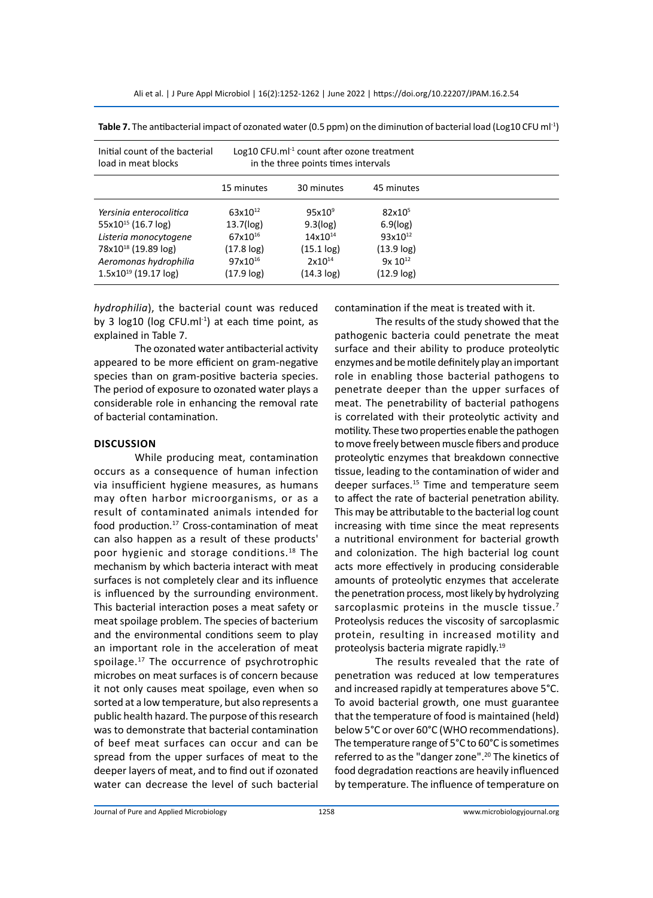| Initial count of the bacterial  | Log10 CFU.ml <sup>-1</sup> count after ozone treatment |                    |                    |  |
|---------------------------------|--------------------------------------------------------|--------------------|--------------------|--|
| load in meat blocks             | in the three points times intervals                    |                    |                    |  |
|                                 | 15 minutes                                             | 30 minutes         | 45 minutes         |  |
| Yersinia enterocolitica         | 63x10 <sup>12</sup>                                    | 95x10 <sup>9</sup> | 82x10 <sup>5</sup> |  |
| $55x10^{15}$ (16.7 log)         | 13.7(log)                                              | 9.3(log)           | $6.9$ ( $log$ )    |  |
| Listeria monocytogene           | 67x10 <sup>16</sup>                                    | $14x10^{14}$       | $93x10^{12}$       |  |
| 78x10 <sup>18</sup> (19.89 log) | $(17.8 \log)$                                          | (15.1 log)         | $(13.9 \log)$      |  |
| Aeromonas hydrophilia           | 97x10 <sup>16</sup>                                    | $2x10^{14}$        | $9x 10^{12}$       |  |
| $1.5x10^{19}$ (19.17 log)       | $(17.9 \log)$                                          | $(14.3 \log)$      | $(12.9 \log)$      |  |

**Table 7.** The antibacterial impact of ozonated water (0.5 ppm) on the diminution of bacterial load (Log10 CFU ml-1)

*hydrophilia*), the bacterial count was reduced by 3  $log10$  ( $log CFU.mI^{-1}$ ) at each time point, as explained in Table 7.

The ozonated water antibacterial activity appeared to be more efficient on gram-negative species than on gram-positive bacteria species. The period of exposure to ozonated water plays a considerable role in enhancing the removal rate of bacterial contamination.

#### **Discussion**

While producing meat, contamination occurs as a consequence of human infection via insufficient hygiene measures, as humans may often harbor microorganisms, or as a result of contaminated animals intended for food production.<sup>17</sup> Cross-contamination of meat can also happen as a result of these products' poor hygienic and storage conditions.<sup>18</sup> The mechanism by which bacteria interact with meat surfaces is not completely clear and its influence is influenced by the surrounding environment. This bacterial interaction poses a meat safety or meat spoilage problem. The species of bacterium and the environmental conditions seem to play an important role in the acceleration of meat spoilage.<sup>17</sup> The occurrence of psychrotrophic microbes on meat surfaces is of concern because it not only causes meat spoilage, even when so sorted at a low temperature, but also represents a public health hazard. The purpose of this research was to demonstrate that bacterial contamination of beef meat surfaces can occur and can be spread from the upper surfaces of meat to the deeper layers of meat, and to find out if ozonated water can decrease the level of such bacterial contamination if the meat is treated with it.

The results of the study showed that the pathogenic bacteria could penetrate the meat surface and their ability to produce proteolytic enzymes and be motile definitely play an important role in enabling those bacterial pathogens to penetrate deeper than the upper surfaces of meat. The penetrability of bacterial pathogens is correlated with their proteolytic activity and motility. These two properties enable the pathogen to move freely between muscle fibers and produce proteolytic enzymes that breakdown connective tissue, leading to the contamination of wider and deeper surfaces.<sup>15</sup> Time and temperature seem to affect the rate of bacterial penetration ability. This may be attributable to the bacterial log count increasing with time since the meat represents a nutritional environment for bacterial growth and colonization. The high bacterial log count acts more effectively in producing considerable amounts of proteolytic enzymes that accelerate the penetration process, most likely by hydrolyzing sarcoplasmic proteins in the muscle tissue.<sup>7</sup> Proteolysis reduces the viscosity of sarcoplasmic protein, resulting in increased motility and proteolysis bacteria migrate rapidly.19

The results revealed that the rate of penetration was reduced at low temperatures and increased rapidly at temperatures above 5°C. To avoid bacterial growth, one must guarantee that the temperature of food is maintained (held) below 5°C or over 60°C (WHO recommendations). The temperature range of 5°C to 60°C is sometimes referred to as the "danger zone".<sup>20</sup> The kinetics of food degradation reactions are heavily influenced by temperature. The influence of temperature on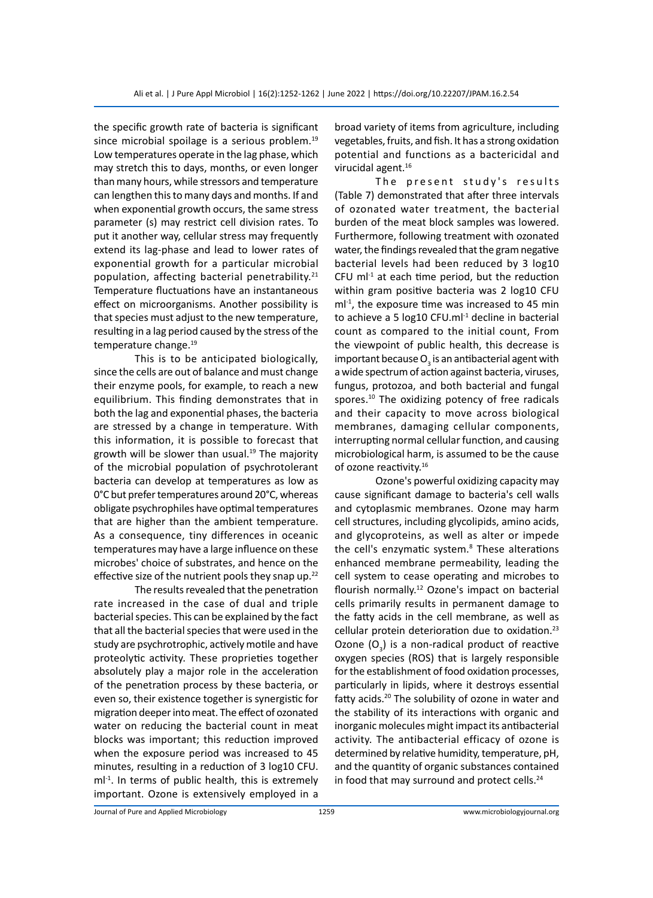the specific growth rate of bacteria is significant since microbial spoilage is a serious problem.<sup>19</sup> Low temperatures operate in the lag phase, which may stretch this to days, months, or even longer than many hours, while stressors and temperature can lengthen this to many days and months. If and when exponential growth occurs, the same stress parameter (s) may restrict cell division rates. To put it another way, cellular stress may frequently extend its lag-phase and lead to lower rates of exponential growth for a particular microbial population, affecting bacterial penetrability.<sup>21</sup> Temperature fluctuations have an instantaneous effect on microorganisms. Another possibility is that species must adjust to the new temperature, resulting in a lag period caused by the stress of the temperature change.<sup>19</sup>

This is to be anticipated biologically, since the cells are out of balance and must change their enzyme pools, for example, to reach a new equilibrium. This finding demonstrates that in both the lag and exponential phases, the bacteria are stressed by a change in temperature. With this information, it is possible to forecast that growth will be slower than usual. $19$  The majority of the microbial population of psychrotolerant bacteria can develop at temperatures as low as 0°C but prefer temperatures around 20°C, whereas obligate psychrophiles have optimal temperatures that are higher than the ambient temperature. As a consequence, tiny differences in oceanic temperatures may have a large influence on these microbes' choice of substrates, and hence on the effective size of the nutrient pools they snap up.<sup>22</sup>

The results revealed that the penetration rate increased in the case of dual and triple bacterial species. This can be explained by the fact that all the bacterial species that were used in the study are psychrotrophic, actively motile and have proteolytic activity. These proprieties together absolutely play a major role in the acceleration of the penetration process by these bacteria, or even so, their existence together is synergistic for migration deeper into meat. The effect of ozonated water on reducing the bacterial count in meat blocks was important; this reduction improved when the exposure period was increased to 45 minutes, resulting in a reduction of 3 log10 CFU.  $ml<sup>-1</sup>$ . In terms of public health, this is extremely important. Ozone is extensively employed in a broad variety of items from agriculture, including vegetables, fruits, and fish. It has a strong oxidation potential and functions as a bactericidal and virucidal agent.<sup>16</sup>

The present study's results (Table 7) demonstrated that after three intervals of ozonated water treatment, the bacterial burden of the meat block samples was lowered. Furthermore, following treatment with ozonated water, the findings revealed that the gram negative bacterial levels had been reduced by 3 log10 CFU m $l^{-1}$  at each time period, but the reduction within gram positive bacteria was 2 log10 CFU  $ml<sup>-1</sup>$ , the exposure time was increased to 45 min to achieve a 5  $log10$  CFU.ml $1$ <sup>1</sup> decline in bacterial count as compared to the initial count, From the viewpoint of public health, this decrease is important because  ${\mathsf O}_{_{\!3}}$  is an antibacterial agent with a wide spectrum of action against bacteria, viruses, fungus, protozoa, and both bacterial and fungal spores.<sup>10</sup> The oxidizing potency of free radicals and their capacity to move across biological membranes, damaging cellular components, interrupting normal cellular function, and causing microbiological harm, is assumed to be the cause of ozone reactivity.<sup>16</sup>

Ozone's powerful oxidizing capacity may cause significant damage to bacteria's cell walls and cytoplasmic membranes. Ozone may harm cell structures, including glycolipids, amino acids, and glycoproteins, as well as alter or impede the cell's enzymatic system.<sup>8</sup> These alterations enhanced membrane permeability, leading the cell system to cease operating and microbes to flourish normally.<sup>12</sup> Ozone's impact on bacterial cells primarily results in permanent damage to the fatty acids in the cell membrane, as well as cellular protein deterioration due to oxidation.<sup>23</sup> Ozone  $(O_3)$  is a non-radical product of reactive oxygen species (ROS) that is largely responsible for the establishment of food oxidation processes, particularly in lipids, where it destroys essential fatty acids.<sup>20</sup> The solubility of ozone in water and the stability of its interactions with organic and inorganic molecules might impact its antibacterial activity. The antibacterial efficacy of ozone is determined by relative humidity, temperature, pH, and the quantity of organic substances contained in food that may surround and protect cells.<sup>24</sup>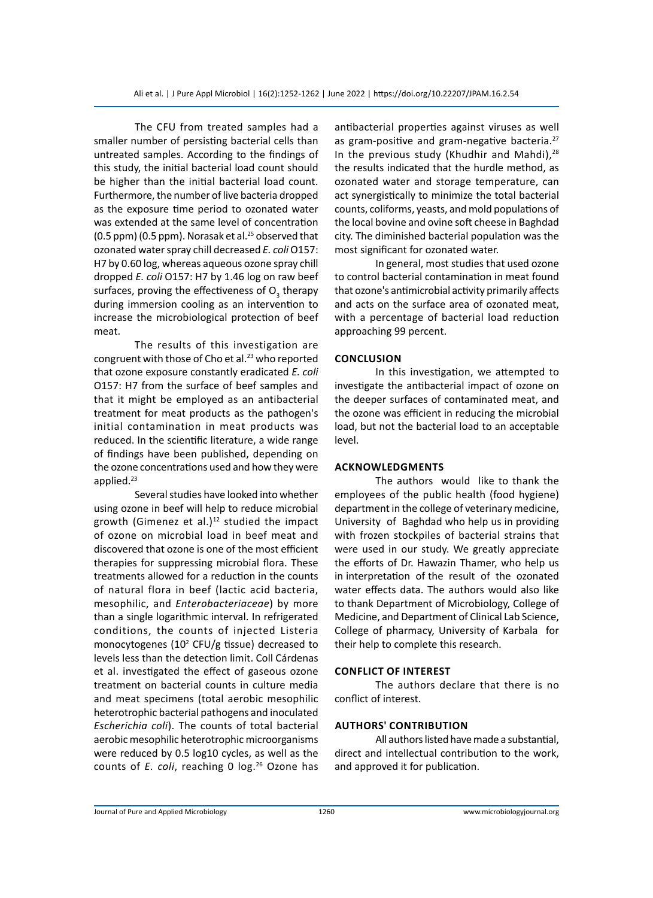The CFU from treated samples had a smaller number of persisting bacterial cells than untreated samples. According to the findings of this study, the initial bacterial load count should be higher than the initial bacterial load count. Furthermore, the number of live bacteria dropped as the exposure time period to ozonated water was extended at the same level of concentration (0.5 ppm) (0.5 ppm). Norasak et al. $25$  observed that ozonated water spray chill decreased *E. coli* O157: H7 by 0.60 log, whereas aqueous ozone spray chill dropped *E. coli* O157: H7 by 1.46 log on raw beef surfaces, proving the effectiveness of  $O_3^2$  therapy during immersion cooling as an intervention to increase the microbiological protection of beef meat.

The results of this investigation are congruent with those of Cho et al. $^{23}$  who reported that ozone exposure constantly eradicated *E. coli* O157: H7 from the surface of beef samples and that it might be employed as an antibacterial treatment for meat products as the pathogen's initial contamination in meat products was reduced. In the scientific literature, a wide range of findings have been published, depending on the ozone concentrations used and how they were applied.<sup>23</sup>

Several studies have looked into whether using ozone in beef will help to reduce microbial growth (Gimenez et al.) $12$  studied the impact of ozone on microbial load in beef meat and discovered that ozone is one of the most efficient therapies for suppressing microbial flora. These treatments allowed for a reduction in the counts of natural flora in beef (lactic acid bacteria, mesophilic, and *Enterobacteriaceae*) by more than a single logarithmic interval. In refrigerated conditions, the counts of injected Listeria monocytogenes  $(10^2 \text{ CFU/g tissue})$  decreased to levels less than the detection limit. Coll Cárdenas et al. investigated the effect of gaseous ozone treatment on bacterial counts in culture media and meat specimens (total aerobic mesophilic heterotrophic bacterial pathogens and inoculated *Escherichia coli*). The counts of total bacterial aerobic mesophilic heterotrophic microorganisms were reduced by 0.5 log10 cycles, as well as the counts of *E. coli*, reaching 0 log.<sup>26</sup> Ozone has

antibacterial properties against viruses as well as gram-positive and gram-negative bacteria.<sup>27</sup> In the previous study (Khudhir and Mahdi), $^{28}$ the results indicated that the hurdle method, as ozonated water and storage temperature, can act synergistically to minimize the total bacterial counts, coliforms, yeasts, and mold populations of the local bovine and ovine soft cheese in Baghdad city. The diminished bacterial population was the most significant for ozonated water.

In general, most studies that used ozone to control bacterial contamination in meat found that ozone's antimicrobial activity primarily affects and acts on the surface area of ozonated meat, with a percentage of bacterial load reduction approaching 99 percent.

## **Conclusion**

In this investigation, we attempted to investigate the antibacterial impact of ozone on the deeper surfaces of contaminated meat, and the ozone was efficient in reducing the microbial load, but not the bacterial load to an acceptable level.

## **Acknowledgments**

The authors would like to thank the employees of the public health (food hygiene) department in the college of veterinary medicine, University of Baghdad who help us in providing with frozen stockpiles of bacterial strains that were used in our study. We greatly appreciate the efforts of Dr. Hawazin Thamer, who help us in interpretation of the result of the ozonated water effects data. The authors would also like to thank Department of Microbiology, College of Medicine, and Department of Clinical Lab Science, College of pharmacy, University of Karbala for their help to complete this research.

#### **Conflict of interest**

The authors declare that there is no conflict of interest.

## **AUTHORS' CONTRIBUTION**

All authors listed have made a substantial, direct and intellectual contribution to the work, and approved it for publication.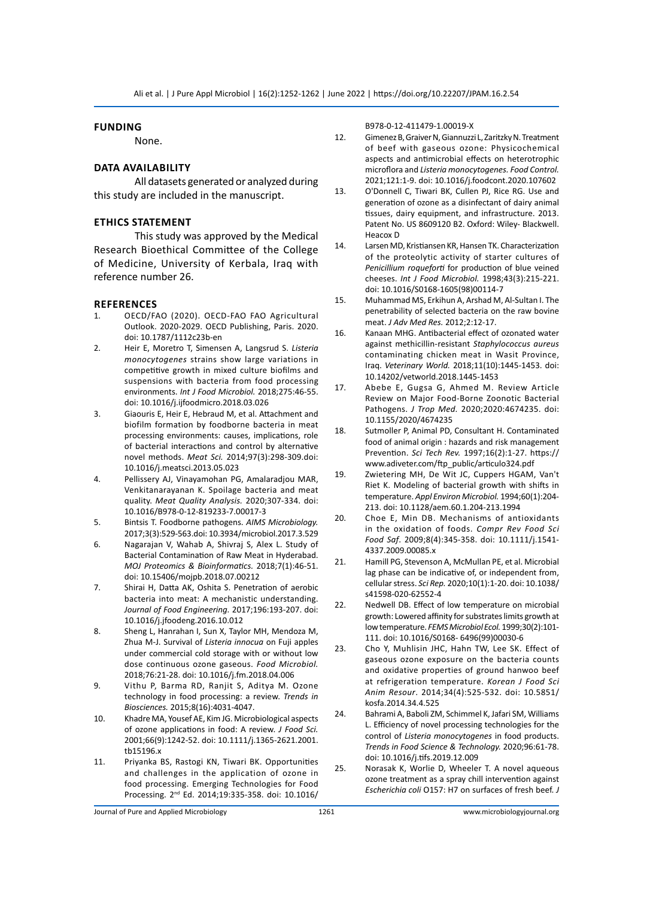#### **Funding**

None.

## **Data Availability**

All datasets generated or analyzed during this study are included in the manuscript.

#### **Ethics statement**

This study was approved by the Medical Research Bioethical Committee of the College of Medicine, University of Kerbala, Iraq with reference number 26.

#### **References**

- 1. OECD/FAO (2020). OECD‐FAO FAO Agricultural Outlook. 2020‐2029. OECD Publishing, Paris. 2020. doi: 10.1787/1112c23b-en
- 2. Heir E, Moretro T, Simensen A, Langsrud S. *Listeria monocytogenes* strains show large variations in competitive growth in mixed culture biofilms and suspensions with bacteria from food processing environments. *Int J Food Microbiol.* 2018;275:46-55. doi: 10.1016/j.ijfoodmicro.2018.03.026
- 3. Giaouris E, Heir E, Hebraud M, et al. Attachment and biofilm formation by foodborne bacteria in meat processing environments: causes, implications, role of bacterial interactions and control by alternative novel methods. *Meat Sci.* 2014;97(3):298-309.doi: 10.1016/j.meatsci.2013.05.023
- 4. Pellissery AJ, Vinayamohan PG, Amalaradjou MAR, Venkitanarayanan K. Spoilage bacteria and meat quality. *Meat Quality Analysis.* 2020;307-334. doi: 10.1016/B978-0-12-819233-7.00017-3
- 5. Bintsis T. Foodborne pathogens. *AIMS Microbiology.* 2017;3(3):529-563.doi: 10.3934/microbiol.2017.3.529
- 6. Nagarajan V, Wahab A, Shivraj S, Alex L. Study of Bacterial Contamination of Raw Meat in Hyderabad. *MOJ Proteomics & Bioinformatics.* 2018;7(1):46-51. doi: 10.15406/mojpb.2018.07.00212
- 7. Shirai H, Datta AK, Oshita S. Penetration of aerobic bacteria into meat: A mechanistic understanding. *Journal of Food Engineering.* 2017;196:193-207. doi: 10.1016/j.jfoodeng.2016.10.012
- 8. Sheng L, Hanrahan I, Sun X, Taylor MH, Mendoza M, Zhua M-J. Survival of *Listeria innocua* on Fuji apples under commercial cold storage with or without low dose continuous ozone gaseous. *Food Microbiol.* 2018;76:21-28. doi: 10.1016/j.fm.2018.04.006
- 9. Vithu P, Barma RD, Ranjit S, Aditya M. Ozone technology in food processing: a review. *Trends in Biosciences.* 2015;8(16):4031-4047.
- 10. Khadre MA, Yousef AE, Kim JG. Microbiological aspects of ozone applications in food: A review. *J Food Sci.* 2001;66(9):1242-52. doi: 10.1111/j.1365-2621.2001. tb15196.x
- 11. Priyanka BS, Rastogi KN, Tiwari BK. Opportunities and challenges in the application of ozone in food processing. Emerging Technologies for Food Processing. 2nd Ed. 2014;19:335-358. doi: 10.1016/

B978-0-12-411479-1.00019-X

- 12. Gimenez B, Graiver N, Giannuzzi L, Zaritzky N. Treatment of beef with gaseous ozone: Physicochemical aspects and antimicrobial effects on heterotrophic microflora and *Listeria monocytogenes. Food Control.* 2021;121:1-9. doi: 10.1016/j.foodcont.2020.107602
- 13. O'Donnell C, Tiwari BK, Cullen PJ, Rice RG. Use and generation of ozone as a disinfectant of dairy animal tissues, dairy equipment, and infrastructure. 2013. Patent No. US 8609120 B2. Oxford: Wiley- Blackwell. Heacox D
- 14. Larsen MD, Kristiansen KR, Hansen TK. Characterization of the proteolytic activity of starter cultures of *Penicillium roqueforti* for production of blue veined cheeses. *Int J Food Microbiol.* 1998;43(3):215-221. doi: 10.1016/S0168-1605(98)00114-7
- 15. Muhammad MS, Erkihun A, Arshad M, Al-Sultan I. The penetrability of selected bacteria on the raw bovine meat. *J Adv Med Res.* 2012;2:12-17.
- 16. Kanaan MHG. Antibacterial effect of ozonated water against methicillin-resistant *Staphylococcus aureus*  contaminating chicken meat in Wasit Province, Iraq. *Veterinary World.* 2018;11(10):1445-1453. doi: 10.14202/vetworld.2018.1445-1453
- 17. Abebe E, Gugsa G, Ahmed M. Review Article Review on Major Food-Borne Zoonotic Bacterial Pathogens. *J Trop Med.* 2020;2020:4674235. doi: 10.1155/2020/4674235
- 18. Sutmoller P, Animal PD, Consultant H. Contaminated food of animal origin : hazards and risk management Prevention. *Sci Tech Rev.* 1997;16(2):1-27. https:// www.adiveter.com/ftp\_public/articulo324.pdf
- 19. Zwietering MH, De Wit JC, Cuppers HGAM, Van't Riet K. Modeling of bacterial growth with shifts in temperature. *Appl Environ Microbiol.* 1994;60(1):204- 213. doi: 10.1128/aem.60.1.204-213.1994
- 20. Choe E, Min DB. Mechanisms of antioxidants in the oxidation of foods. *Compr Rev Food Sci Food Saf*. 2009;8(4):345-358. doi: 10.1111/j.1541- 4337.2009.00085.x
- 21. Hamill PG, Stevenson A, McMullan PE, et al. Microbial lag phase can be indicative of, or independent from, cellular stress. *Sci Rep.* 2020;10(1):1-20. doi: 10.1038/ s41598-020-62552-4
- 22. Nedwell DB. Effect of low temperature on microbial growth: Lowered affinity for substrates limits growth at low temperature. *FEMS Microbiol Ecol.* 1999;30(2):101- 111. doi: 10.1016/S0168- 6496(99)00030-6
- 23. Cho Y, Muhlisin JHC, Hahn TW, Lee SK. Effect of gaseous ozone exposure on the bacteria counts and oxidative properties of ground hanwoo beef at refrigeration temperature. *Korean J Food Sci Anim Resour*. 2014;34(4):525-532. doi: 10.5851/ kosfa.2014.34.4.525
- 24. Bahrami A, Baboli ZM, Schimmel K, Jafari SM, Williams L. Efficiency of novel processing technologies for the control of *Listeria monocytogenes* in food products. *Trends in Food Science & Technology.* 2020;96:61-78. doi: 10.1016/j.tifs.2019.12.009
- 25. Norasak K, Worlie D, Wheeler T. A novel aqueous ozone treatment as a spray chill intervention against *Escherichia coli* O157: H7 on surfaces of fresh beef. *J*

Journal of Pure and Applied Microbiology 1261 www.microbiologyjournal.org